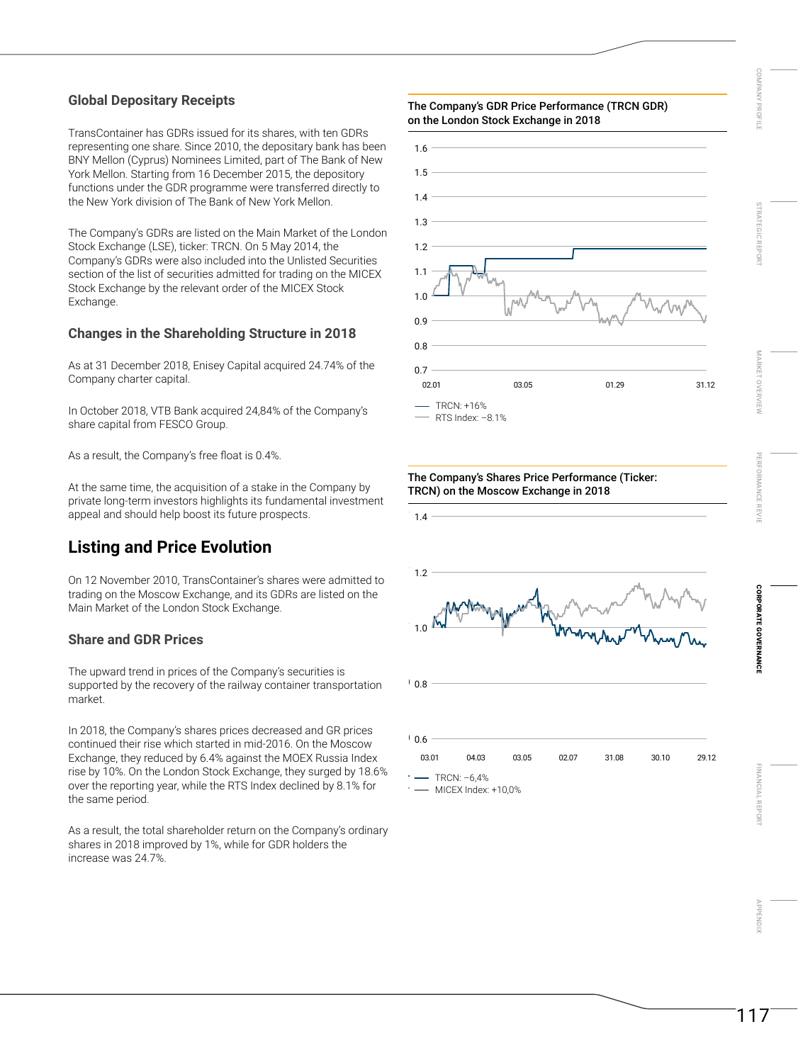### **Global Depositary Receipts**

TransContainer has GDRs issued for its shares, with ten GDRs representing one share. Since 2010, the depositary bank has been BNY Mellon (Cyprus) Nominees Limited, part of The Bank of New York Mellon. Starting from 16 December 2015, the depository functions under the GDR programme were transferred directly to the New York division of The Bank of New York Mellon.

The Company's GDRs are listed on the Main Market of the London Stock Exchange (LSE), ticker: TRCN. On 5 May 2014, the Company's GDRs were also included into the Unlisted Securities section of the list of securities admitted for trading on the MICEX Stock Exchange by the relevant order of the MICEX Stock Exchange.

### **Changes in the Shareholding Structure in 2018**

As at 31 December 2018, Enisey Capital acquired 24.74% of the Company charter capital.

In October 2018, VTB Bank acquired 24,84% of the Company's share capital from FESCO Group.

As a result, the Company's free float is 0.4%.

At the same time, the acquisition of a stake in the Company by private long-term investors highlights its fundamental investment appeal and should help boost its future prospects.

# **Listing and Price Evolution**

On 12 November 2010, TransContainer's shares were admitted to trading on the Moscow Exchange, and its GDRs are listed on the Main Market of the London Stock Exchange.

#### **Share and GDR Prices**

The upward trend in prices of the Company's securities is supported by the recovery of the railway container transportation market.

In 2018, the Company's shares prices decreased and GR prices continued their rise which started in mid-2016. On the Moscow Exchange, they reduced by 6.4% against the MOEX Russia Index rise by 10%. On the London Stock Exchange, they surged by 18.6% over the reporting year, while the RTS Index declined by 8.1% for the same period.

As a result, the total shareholder return on the Company's ordinary shares in 2018 improved by 1%, while for GDR holders the increase was 24.7%.

# —<br>The Company's GDR Price Performance (TRCN GDR) on the London Stock Exchange in 2018



The Company's Shares Price Performance (Ticker:

03.01 04.03 03.05 02.07 31.08 30.10 29.12

TRCN) on the Moscow Exchange in 2018

0.6

 $-$  TRCN:  $-6.4%$ MICEX Index: +10,0%

0.8

1.0

1.2

1.4



[MARKET OVERVIEW](#page--1-0)

MARKET OVERV

[COMPANY PROFILE STRATEGIC REPORT](#page--1-0)

STRATEGIC REPOR

COMPAN<sup>N</sup>

THOHL